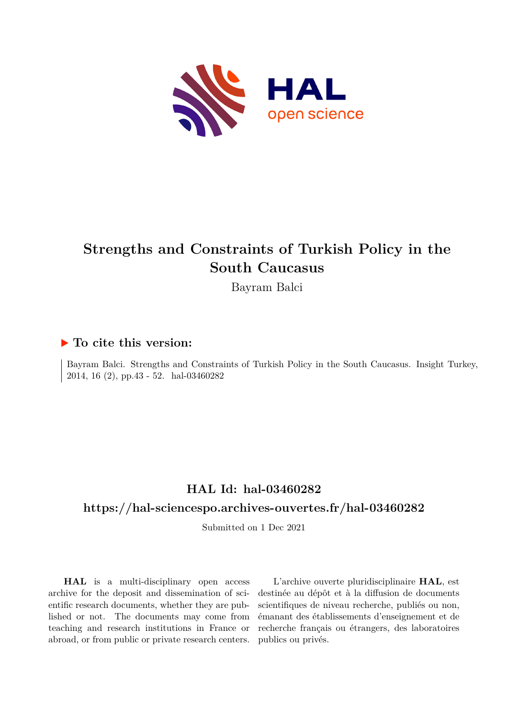

## **Strengths and Constraints of Turkish Policy in the South Caucasus**

Bayram Balci

## **To cite this version:**

Bayram Balci. Strengths and Constraints of Turkish Policy in the South Caucasus. Insight Turkey, 2014, 16 $(2)$ , pp.43 - 52. hal-03460282

## **HAL Id: hal-03460282**

## **<https://hal-sciencespo.archives-ouvertes.fr/hal-03460282>**

Submitted on 1 Dec 2021

**HAL** is a multi-disciplinary open access archive for the deposit and dissemination of scientific research documents, whether they are published or not. The documents may come from teaching and research institutions in France or abroad, or from public or private research centers.

L'archive ouverte pluridisciplinaire **HAL**, est destinée au dépôt et à la diffusion de documents scientifiques de niveau recherche, publiés ou non, émanant des établissements d'enseignement et de recherche français ou étrangers, des laboratoires publics ou privés.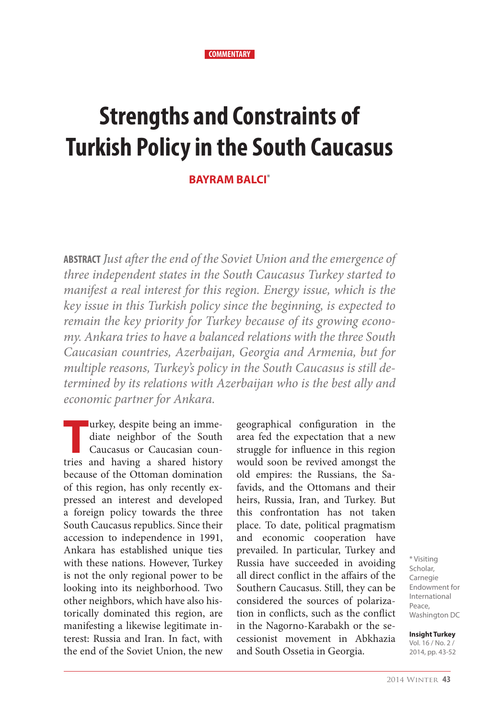#### **COMMENTARY**

# **Strengths and Constraints of Turkish Policy in the South Caucasus**

#### **BAYRAM BALCI\***

**ABSTRACT** *Just after the end of the Soviet Union and the emergence of three independent states in the South Caucasus Turkey started to manifest a real interest for this region. Energy issue, which is the key issue in this Turkish policy since the beginning, is expected to remain the key priority for Turkey because of its growing economy. Ankara tries to have a balanced relations with the three South Caucasian countries, Azerbaijan, Georgia and Armenia, but for multiple reasons, Turkey's policy in the South Caucasus is still determined by its relations with Azerbaijan who is the best ally and economic partner for Ankara.*

Turkey, despite being an imme-<br>
diate neighbor of the South<br>
Caucasus or Caucasian coun-<br>
tries and having a shared history diate neighbor of the South tries and having a shared history because of the Ottoman domination of this region, has only recently expressed an interest and developed a foreign policy towards the three South Caucasus republics. Since their accession to independence in 1991, Ankara has established unique ties with these nations. However, Turkey is not the only regional power to be looking into its neighborhood. Two other neighbors, which have also historically dominated this region, are manifesting a likewise legitimate interest: Russia and Iran. In fact, with the end of the Soviet Union, the new

geographical configuration in the area fed the expectation that a new struggle for influence in this region would soon be revived amongst the old empires: the Russians, the Safavids, and the Ottomans and their heirs, Russia, Iran, and Turkey. But this confrontation has not taken place. To date, political pragmatism and economic cooperation have prevailed. In particular, Turkey and Russia have succeeded in avoiding all direct conflict in the affairs of the Southern Caucasus. Still, they can be considered the sources of polarization in conflicts, such as the conflict in the Nagorno-Karabakh or the secessionist movement in Abkhazia and South Ossetia in Georgia.

\* Visiting Scholar, Carnegie Endowment for International Peace, Washington DC

#### **Insight Turkey**

Vol. 16 / No. 2 / 2014, pp. 43-52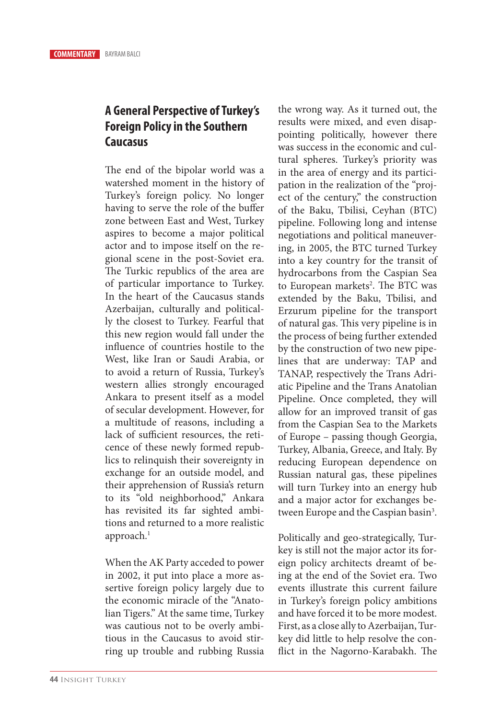## **A General Perspective of Turkey's Foreign Policy in the Southern Caucasus**

The end of the bipolar world was a watershed moment in the history of Turkey's foreign policy. No longer having to serve the role of the buffer zone between East and West, Turkey aspires to become a major political actor and to impose itself on the regional scene in the post-Soviet era. The Turkic republics of the area are of particular importance to Turkey. In the heart of the Caucasus stands Azerbaijan, culturally and politically the closest to Turkey. Fearful that this new region would fall under the influence of countries hostile to the West, like Iran or Saudi Arabia, or to avoid a return of Russia, Turkey's western allies strongly encouraged Ankara to present itself as a model of secular development. However, for a multitude of reasons, including a lack of sufficient resources, the reticence of these newly formed republics to relinquish their sovereignty in exchange for an outside model, and their apprehension of Russia's return to its "old neighborhood," Ankara has revisited its far sighted ambitions and returned to a more realistic approach.<sup>1</sup>

When the AK Party acceded to power in 2002, it put into place a more assertive foreign policy largely due to the economic miracle of the "Anatolian Tigers." At the same time, Turkey was cautious not to be overly ambitious in the Caucasus to avoid stirring up trouble and rubbing Russia

the wrong way. As it turned out, the results were mixed, and even disappointing politically, however there was success in the economic and cultural spheres. Turkey's priority was in the area of energy and its participation in the realization of the "project of the century," the construction of the Baku, Tbilisi, Ceyhan (BTC) pipeline. Following long and intense negotiations and political maneuvering, in 2005, the BTC turned Turkey into a key country for the transit of hydrocarbons from the Caspian Sea to European markets<sup>2</sup>. The BTC was extended by the Baku, Tbilisi, and Erzurum pipeline for the transport of natural gas. This very pipeline is in the process of being further extended by the construction of two new pipelines that are underway: TAP and TANAP, respectively the Trans Adriatic Pipeline and the Trans Anatolian Pipeline. Once completed, they will allow for an improved transit of gas from the Caspian Sea to the Markets of Europe – passing though Georgia, Turkey, Albania, Greece, and Italy. By reducing European dependence on Russian natural gas, these pipelines will turn Turkey into an energy hub and a major actor for exchanges between Europe and the Caspian basin<sup>3</sup>.

Politically and geo-strategically, Turkey is still not the major actor its foreign policy architects dreamt of being at the end of the Soviet era. Two events illustrate this current failure in Turkey's foreign policy ambitions and have forced it to be more modest. First, as a close ally to Azerbaijan, Turkey did little to help resolve the conflict in the Nagorno-Karabakh. The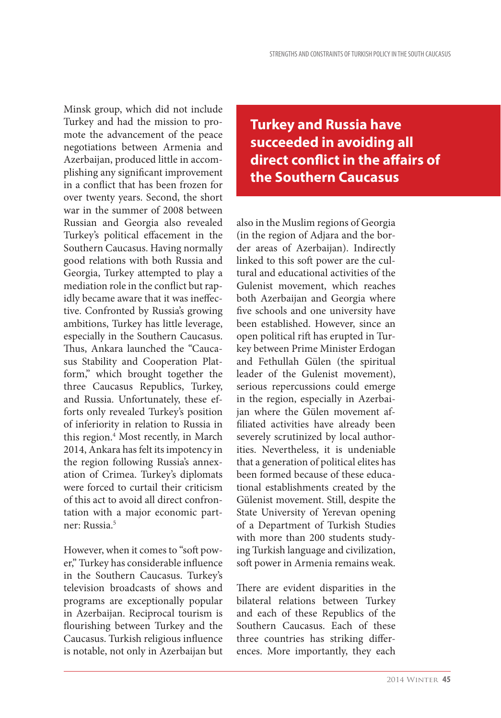Minsk group, which did not include Turkey and had the mission to promote the advancement of the peace negotiations between Armenia and Azerbaijan, produced little in accomplishing any significant improvement in a conflict that has been frozen for over twenty years. Second, the short war in the summer of 2008 between Russian and Georgia also revealed Turkey's political effacement in the Southern Caucasus. Having normally good relations with both Russia and Georgia, Turkey attempted to play a mediation role in the conflict but rapidly became aware that it was ineffective. Confronted by Russia's growing ambitions, Turkey has little leverage, especially in the Southern Caucasus. Thus, Ankara launched the "Caucasus Stability and Cooperation Platform," which brought together the three Caucasus Republics, Turkey, and Russia. Unfortunately, these efforts only revealed Turkey's position of inferiority in relation to Russia in this region.<sup>4</sup> Most recently, in March 2014, Ankara has felt its impotency in the region following Russia's annexation of Crimea. Turkey's diplomats were forced to curtail their criticism of this act to avoid all direct confrontation with a major economic partner: Russia.5

However, when it comes to "soft power," Turkey has considerable influence in the Southern Caucasus. Turkey's television broadcasts of shows and programs are exceptionally popular in Azerbaijan. Reciprocal tourism is flourishing between Turkey and the Caucasus. Turkish religious influence is notable, not only in Azerbaijan but

**Turkey and Russia have succeeded in avoiding all direct conflict in the affairs of the Southern Caucasus**

also in the Muslim regions of Georgia (in the region of Adjara and the border areas of Azerbaijan). Indirectly linked to this soft power are the cultural and educational activities of the Gulenist movement, which reaches both Azerbaijan and Georgia where five schools and one university have been established. However, since an open political rift has erupted in Turkey between Prime Minister Erdogan and Fethullah Gülen (the spiritual leader of the Gulenist movement), serious repercussions could emerge in the region, especially in Azerbaijan where the Gülen movement affiliated activities have already been severely scrutinized by local authorities. Nevertheless, it is undeniable that a generation of political elites has been formed because of these educational establishments created by the Gülenist movement. Still, despite the State University of Yerevan opening of a Department of Turkish Studies with more than 200 students studying Turkish language and civilization, soft power in Armenia remains weak.

There are evident disparities in the bilateral relations between Turkey and each of these Republics of the Southern Caucasus. Each of these three countries has striking differences. More importantly, they each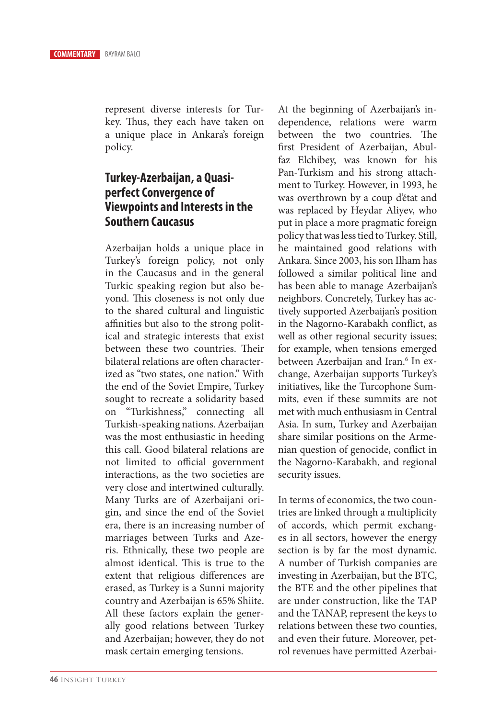represent diverse interests for Turkey. Thus, they each have taken on a unique place in Ankara's foreign policy.

## **Turkey-Azerbaijan, a Quasiperfect Convergence of Viewpoints and Interests in the Southern Caucasus**

Azerbaijan holds a unique place in Turkey's foreign policy, not only in the Caucasus and in the general Turkic speaking region but also beyond. This closeness is not only due to the shared cultural and linguistic affinities but also to the strong political and strategic interests that exist between these two countries. Their bilateral relations are often characterized as "two states, one nation." With the end of the Soviet Empire, Turkey sought to recreate a solidarity based on "Turkishness," connecting all Turkish-speaking nations. Azerbaijan was the most enthusiastic in heeding this call. Good bilateral relations are not limited to official government interactions, as the two societies are very close and intertwined culturally. Many Turks are of Azerbaijani origin, and since the end of the Soviet era, there is an increasing number of marriages between Turks and Azeris. Ethnically, these two people are almost identical. This is true to the extent that religious differences are erased, as Turkey is a Sunni majority country and Azerbaijan is 65% Shiite. All these factors explain the generally good relations between Turkey and Azerbaijan; however, they do not mask certain emerging tensions.

At the beginning of Azerbaijan's independence, relations were warm between the two countries. The first President of Azerbaijan, Abulfaz Elchibey, was known for his Pan-Turkism and his strong attachment to Turkey. However, in 1993, he was overthrown by a coup d'état and was replaced by Heydar Aliyev, who put in place a more pragmatic foreign policy that was less tied to Turkey. Still, he maintained good relations with Ankara. Since 2003, his son Ilham has followed a similar political line and has been able to manage Azerbaijan's neighbors. Concretely, Turkey has actively supported Azerbaijan's position in the Nagorno-Karabakh conflict, as well as other regional security issues; for example, when tensions emerged between Azerbaijan and Iran.<sup>6</sup> In exchange, Azerbaijan supports Turkey's initiatives, like the Turcophone Summits, even if these summits are not met with much enthusiasm in Central Asia. In sum, Turkey and Azerbaijan share similar positions on the Armenian question of genocide, conflict in the Nagorno-Karabakh, and regional security issues.

In terms of economics, the two countries are linked through a multiplicity of accords, which permit exchanges in all sectors, however the energy section is by far the most dynamic. A number of Turkish companies are investing in Azerbaijan, but the BTC, the BTE and the other pipelines that are under construction, like the TAP and the TANAP, represent the keys to relations between these two counties, and even their future. Moreover, petrol revenues have permitted Azerbai-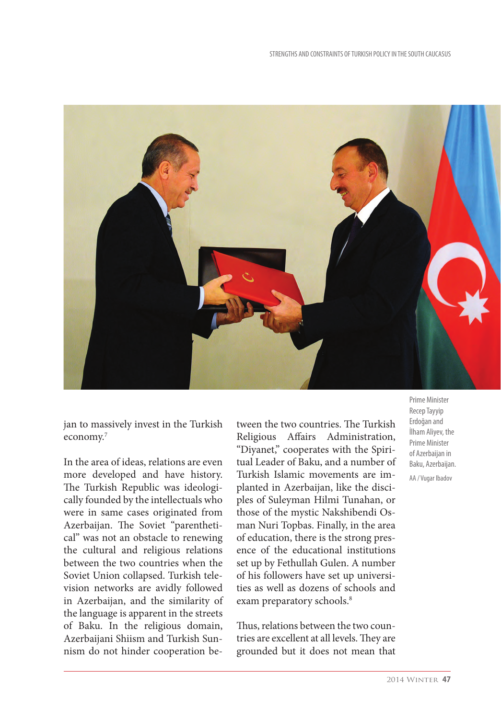

jan to massively invest in the Turkish economy.7

In the area of ideas, relations are even more developed and have history. The Turkish Republic was ideologically founded by the intellectuals who were in same cases originated from Azerbaijan. The Soviet "parenthetical" was not an obstacle to renewing the cultural and religious relations between the two countries when the Soviet Union collapsed. Turkish television networks are avidly followed in Azerbaijan, and the similarity of the language is apparent in the streets of Baku. In the religious domain, Azerbaijani Shiism and Turkish Sunnism do not hinder cooperation be-

tween the two countries. The Turkish Religious Affairs Administration, "Diyanet," cooperates with the Spiritual Leader of Baku, and a number of Turkish Islamic movements are implanted in Azerbaijan, like the disciples of Suleyman Hilmi Tunahan, or those of the mystic Nakshibendi Osman Nuri Topbas. Finally, in the area of education, there is the strong presence of the educational institutions set up by Fethullah Gulen. A number of his followers have set up universities as well as dozens of schools and exam preparatory schools.<sup>8</sup>

Thus, relations between the two countries are excellent at all levels. They are grounded but it does not mean that Prime Minister Recep Tayyip Erdoğan and İlham Aliyev, the Prime Minister of Azerbaijan in Baku, Azerbaijan. AA / Vugar Ibadov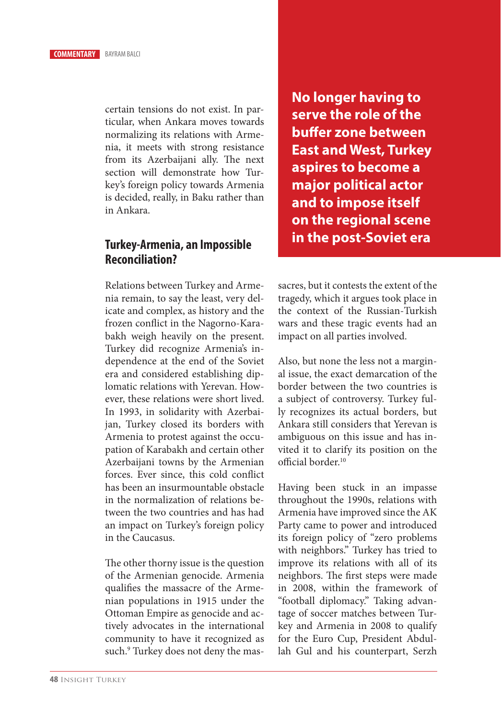certain tensions do not exist. In particular, when Ankara moves towards normalizing its relations with Armenia, it meets with strong resistance from its Azerbaijani ally. The next section will demonstrate how Turkey's foreign policy towards Armenia is decided, really, in Baku rather than in Ankara.

## **Turkey-Armenia, an Impossible Reconciliation?**

Relations between Turkey and Armenia remain, to say the least, very delicate and complex, as history and the frozen conflict in the Nagorno-Karabakh weigh heavily on the present. Turkey did recognize Armenia's independence at the end of the Soviet era and considered establishing diplomatic relations with Yerevan. However, these relations were short lived. In 1993, in solidarity with Azerbaijan, Turkey closed its borders with Armenia to protest against the occupation of Karabakh and certain other Azerbaijani towns by the Armenian forces. Ever since, this cold conflict has been an insurmountable obstacle in the normalization of relations between the two countries and has had an impact on Turkey's foreign policy in the Caucasus.

The other thorny issue is the question of the Armenian genocide. Armenia qualifies the massacre of the Armenian populations in 1915 under the Ottoman Empire as genocide and actively advocates in the international community to have it recognized as such.<sup>9</sup> Turkey does not deny the mas**No longer having to serve the role of the buffer zone between East and West, Turkey aspires to become a major political actor and to impose itself on the regional scene in the post-Soviet era**

sacres, but it contests the extent of the tragedy, which it argues took place in the context of the Russian-Turkish wars and these tragic events had an impact on all parties involved.

Also, but none the less not a marginal issue, the exact demarcation of the border between the two countries is a subject of controversy. Turkey fully recognizes its actual borders, but Ankara still considers that Yerevan is ambiguous on this issue and has invited it to clarify its position on the official border.<sup>10</sup>

Having been stuck in an impasse throughout the 1990s, relations with Armenia have improved since the AK Party came to power and introduced its foreign policy of "zero problems with neighbors." Turkey has tried to improve its relations with all of its neighbors. The first steps were made in 2008, within the framework of "football diplomacy." Taking advantage of soccer matches between Turkey and Armenia in 2008 to qualify for the Euro Cup, President Abdullah Gul and his counterpart, Serzh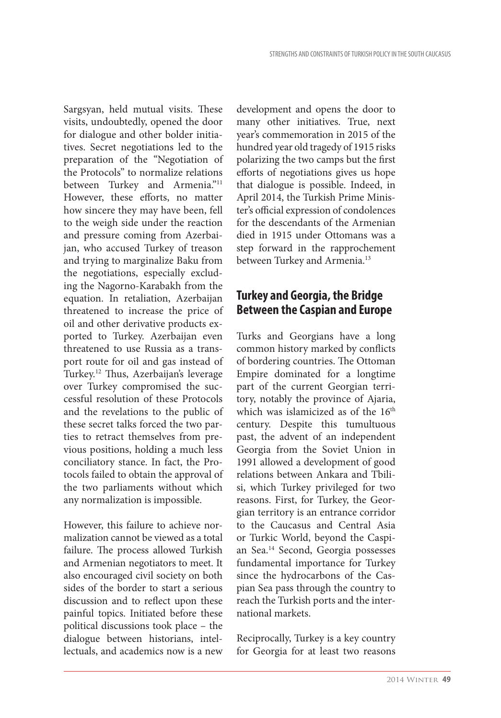Sargsyan, held mutual visits. These visits, undoubtedly, opened the door for dialogue and other bolder initiatives. Secret negotiations led to the preparation of the "Negotiation of the Protocols" to normalize relations between Turkey and Armenia."<sup>11</sup> However, these efforts, no matter how sincere they may have been, fell to the weigh side under the reaction and pressure coming from Azerbaijan, who accused Turkey of treason and trying to marginalize Baku from the negotiations, especially excluding the Nagorno-Karabakh from the equation. In retaliation, Azerbaijan threatened to increase the price of oil and other derivative products exported to Turkey. Azerbaijan even threatened to use Russia as a transport route for oil and gas instead of Turkey.12 Thus, Azerbaijan's leverage over Turkey compromised the successful resolution of these Protocols and the revelations to the public of these secret talks forced the two parties to retract themselves from previous positions, holding a much less conciliatory stance. In fact, the Protocols failed to obtain the approval of the two parliaments without which any normalization is impossible.

However, this failure to achieve normalization cannot be viewed as a total failure. The process allowed Turkish and Armenian negotiators to meet. It also encouraged civil society on both sides of the border to start a serious discussion and to reflect upon these painful topics. Initiated before these political discussions took place – the dialogue between historians, intellectuals, and academics now is a new

development and opens the door to many other initiatives. True, next year's commemoration in 2015 of the hundred year old tragedy of 1915 risks polarizing the two camps but the first efforts of negotiations gives us hope that dialogue is possible. Indeed, in April 2014, the Turkish Prime Minister's official expression of condolences for the descendants of the Armenian died in 1915 under Ottomans was a step forward in the rapprochement between Turkey and Armenia.<sup>13</sup>

## **Turkey and Georgia, the Bridge Between the Caspian and Europe**

Turks and Georgians have a long common history marked by conflicts of bordering countries. The Ottoman Empire dominated for a longtime part of the current Georgian territory, notably the province of Ajaria, which was islamicized as of the 16<sup>th</sup> century. Despite this tumultuous past, the advent of an independent Georgia from the Soviet Union in 1991 allowed a development of good relations between Ankara and Tbilisi, which Turkey privileged for two reasons. First, for Turkey, the Georgian territory is an entrance corridor to the Caucasus and Central Asia or Turkic World, beyond the Caspian Sea.14 Second, Georgia possesses fundamental importance for Turkey since the hydrocarbons of the Caspian Sea pass through the country to reach the Turkish ports and the international markets.

Reciprocally, Turkey is a key country for Georgia for at least two reasons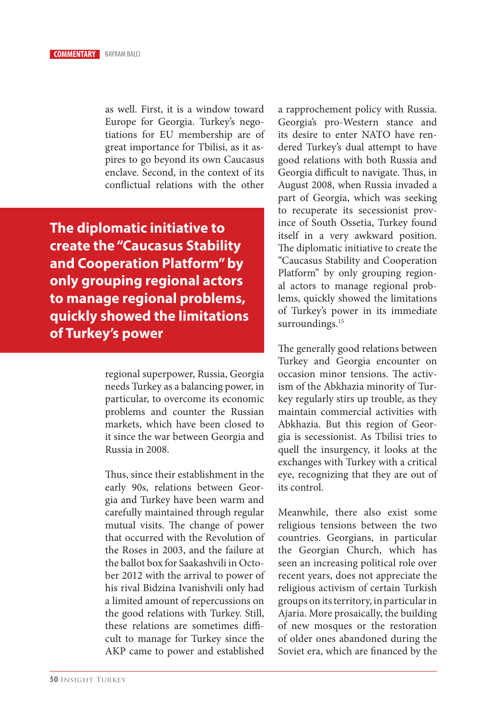as well. First, it is a window toward Europe for Georgia. Turkey's negotiations for EU membership are of great importance for Tbilisi, as it aspires to go beyond its own Caucasus enclave. Second, in the context of its conflictual relations with the other

**The diplomatic initiative to create the "Caucasus Stability and Cooperation Platform" by only grouping regional actors to manage regional problems, quickly showed the limitations of Turkey's power**

> regional superpower, Russia, Georgia needs Turkey as a balancing power, in particular, to overcome its economic problems and counter the Russian markets, which have been closed to it since the war between Georgia and Russia in 2008.

> Thus, since their establishment in the early 90s, relations between Georgia and Turkey have been warm and carefully maintained through regular mutual visits. The change of power that occurred with the Revolution of the Roses in 2003, and the failure at the ballot box for Saakashvili in October 2012 with the arrival to power of his rival Bidzina Ivanishvili only had a limited amount of repercussions on the good relations with Turkey. Still, these relations are sometimes difficult to manage for Turkey since the AKP came to power and established

a rapprochement policy with Russia. Georgia's pro-Western stance and its desire to enter NATO have rendered Turkey's dual attempt to have good relations with both Russia and Georgia difficult to navigate. Thus, in August 2008, when Russia invaded a part of Georgia, which was seeking to recuperate its secessionist province of South Ossetia, Turkey found itself in a very awkward position. The diplomatic initiative to create the "Caucasus Stability and Cooperation Platform" by only grouping regional actors to manage regional problems, quickly showed the limitations of Turkey's power in its immediate surroundings.<sup>15</sup>

The generally good relations between Turkey and Georgia encounter on occasion minor tensions. The activism of the Abkhazia minority of Turkey regularly stirs up trouble, as they maintain commercial activities with Abkhazia. But this region of Georgia is secessionist. As Tbilisi tries to quell the insurgency, it looks at the exchanges with Turkey with a critical eye, recognizing that they are out of its control.

Meanwhile, there also exist some religious tensions between the two countries. Georgians, in particular the Georgian Church, which has seen an increasing political role over recent years, does not appreciate the religious activism of certain Turkish groups on its territory, in particular in Ajaria. More prosaically, the building of new mosques or the restoration of older ones abandoned during the Soviet era, which are financed by the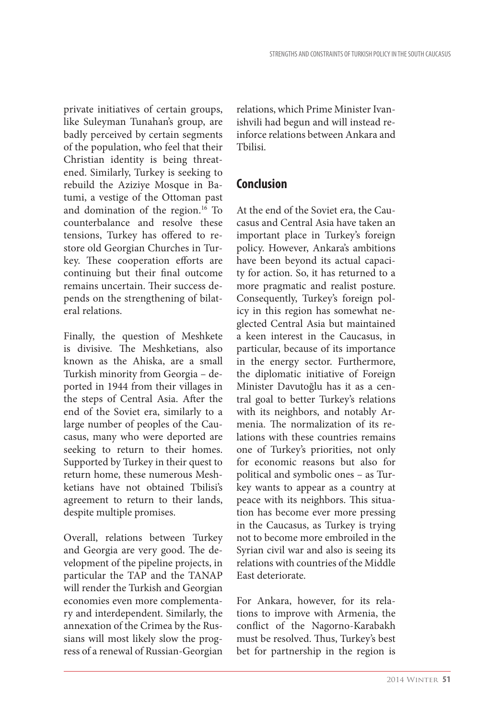private initiatives of certain groups, like Suleyman Tunahan's group, are badly perceived by certain segments of the population, who feel that their Christian identity is being threatened. Similarly, Turkey is seeking to rebuild the Aziziye Mosque in Batumi, a vestige of the Ottoman past and domination of the region.16 To counterbalance and resolve these tensions, Turkey has offered to restore old Georgian Churches in Turkey. These cooperation efforts are continuing but their final outcome remains uncertain. Their success depends on the strengthening of bilateral relations.

Finally, the question of Meshkete is divisive. The Meshketians, also known as the Ahiska, are a small Turkish minority from Georgia – deported in 1944 from their villages in the steps of Central Asia. After the end of the Soviet era, similarly to a large number of peoples of the Caucasus, many who were deported are seeking to return to their homes. Supported by Turkey in their quest to return home, these numerous Meshketians have not obtained Tbilisi's agreement to return to their lands, despite multiple promises.

Overall, relations between Turkey and Georgia are very good. The development of the pipeline projects, in particular the TAP and the TANAP will render the Turkish and Georgian economies even more complementary and interdependent. Similarly, the annexation of the Crimea by the Russians will most likely slow the progress of a renewal of Russian-Georgian

relations, which Prime Minister Ivanishvili had begun and will instead reinforce relations between Ankara and Tbilisi.

## **Conclusion**

At the end of the Soviet era, the Caucasus and Central Asia have taken an important place in Turkey's foreign policy. However, Ankara's ambitions have been beyond its actual capacity for action. So, it has returned to a more pragmatic and realist posture. Consequently, Turkey's foreign policy in this region has somewhat neglected Central Asia but maintained a keen interest in the Caucasus, in particular, because of its importance in the energy sector. Furthermore, the diplomatic initiative of Foreign Minister Davutoğlu has it as a central goal to better Turkey's relations with its neighbors, and notably Armenia. The normalization of its relations with these countries remains one of Turkey's priorities, not only for economic reasons but also for political and symbolic ones – as Turkey wants to appear as a country at peace with its neighbors. This situation has become ever more pressing in the Caucasus, as Turkey is trying not to become more embroiled in the Syrian civil war and also is seeing its relations with countries of the Middle East deteriorate.

For Ankara, however, for its relations to improve with Armenia, the conflict of the Nagorno-Karabakh must be resolved. Thus, Turkey's best bet for partnership in the region is